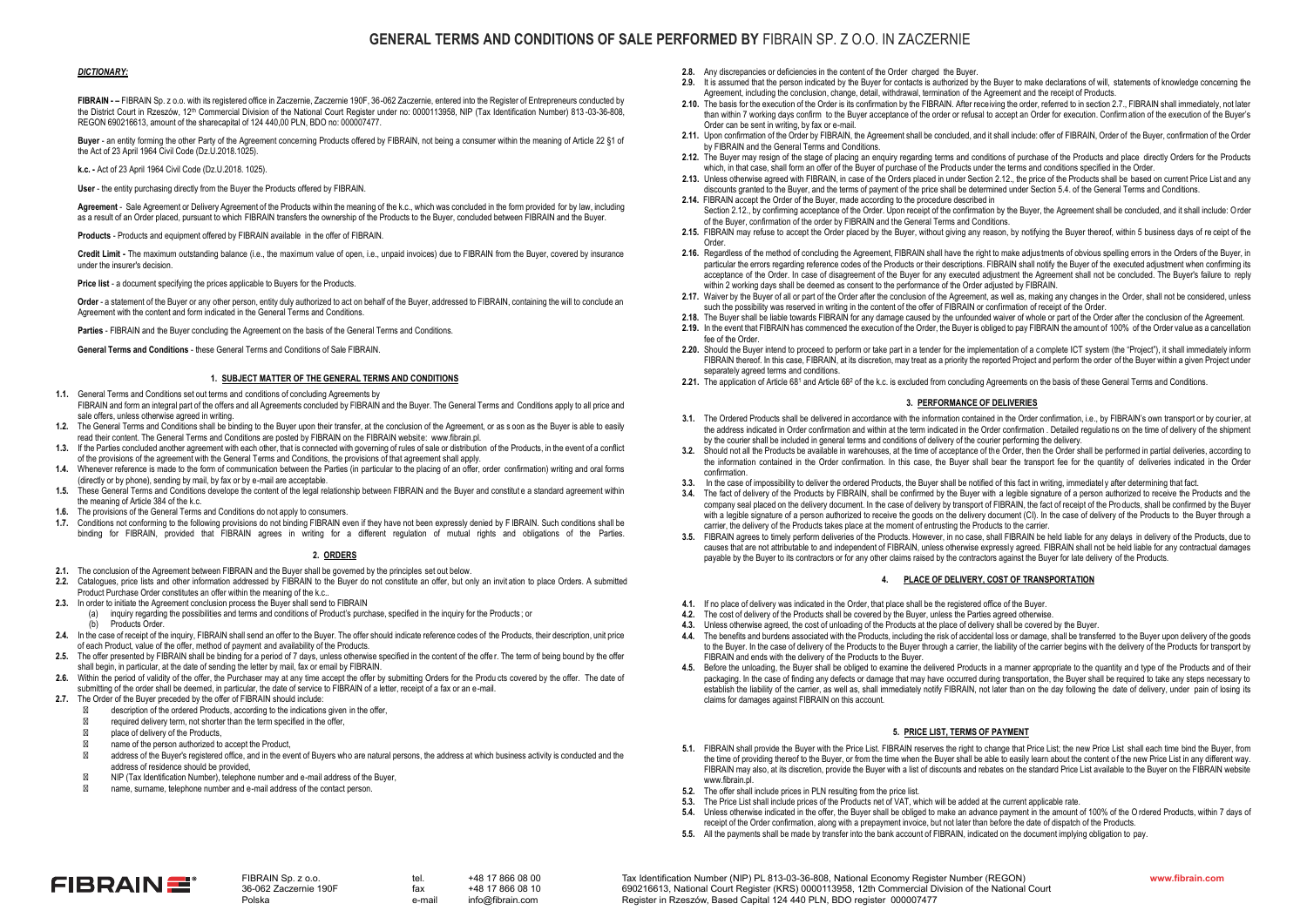# **GENERAL TERMS AND CONDITIONS OF SALE PERFORMED BY** FIBRAIN SP. Z O.O. IN ZACZERNIE

### *DICTIONARY:*

**FIBRAIN - –** FIBRAIN Sp. z o.o. with its registered office in Zaczernie, Zaczernie 190F, 36-062 Zaczernie, entered into the Register of Entrepreneurs conducted by the District Court in Rzeszów, 12<sup>th</sup> Commercial Division of the National Court Register under no: 0000113958, NIP (Tax Identification Number) 813-03-36-808, REGON 690216613, amount of the sharecapital of 124 440,00 PLN, BDO no: 000007477.

**Buyer** - an entity forming the other Party of the Agreement concerning Products offered by FIBRAIN, not being a consumer within the meaning of Article 22 §1 of the Act of 23 April 1964 Civil Code (Dz.U.2018.1025).

**k.c. -** Act of 23 April 1964 Civil Code (Dz.U.2018. 1025).

User - the entity purchasing directly from the Buyer the Products offered by FIBRAIN.

**Agreement** - Sale Agreement or Delivery Agreement of the Products within the meaning of the k.c., which was concluded in the form provided for by law, including as a result of an Order placed, pursuant to which FIBRAIN transfers the ownership of the Products to the Buyer, concluded between FIBRAIN and the Buyer.

**Products** - Products and equipment offered by FIBRAIN available in the offer of FIBRAIN.

**Credit Limit -** The maximum outstanding balance (i.e., the maximum value of open, i.e., unpaid invoices) due to FIBRAIN from the Buyer, covered by insurance under the insurer's decision.

**Price list** - a document specifying the prices applicable to Buyers for the Products.

**Order** - a statement of the Buyer or any other person, entity duly authorized to act on behalf of the Buyer, addressed to FIBRAIN, containing the will to conclude an Agreement with the content and form indicated in the General Terms and Conditions.

**Parties** - FIBRAIN and the Buyer concluding the Agreement on the basis of the General Terms and Conditions.

**General Terms and Conditions** - these General Terms and Conditions of Sale FIBRAIN.

### **1. SUBJECT MATTER OF THE GENERAL TERMS AND CONDITIONS**

- **1.1.** General Terms and Conditions set out terms and conditions of concluding Agreements by FIBRAIN and form an integral part of the offers and all Agreements concluded by FIBRAIN and the Buyer. The General Terms and Conditions apply to all price and sale offers, unless otherwise agreed in writing.
- **1.2.** The General Terms and Conditions shall be binding to the Buyer upon their transfer, at the conclusion of the Agreement, or as s oon as the Buyer is able to easily read their content. The General Terms and Conditions are posted by FIBRAIN on the FIBRAIN website: www.fibrain.pl.
- **1.3.** If the Parties concluded another agreement with each other, that is connected with governing of rules of sale or distribution of the Products, in the event of a conflict of the provisions of the agreement with the General Terms and Conditions, the provisions of that agreement shall apply.
- **1.4.** Whenever reference is made to the form of communication between the Parties (in particular to the placing of an offer, order confirmation) writing and oral forms (directly or by phone), sending by mail, by fax or by e-mail are acceptable.
- **1.5.** These General Terms and Conditions develope the content of the legal relationship between FIBRAIN and the Buyer and constitut e a standard agreement within the meaning of Article 384 of the k.c.
- **1.6.** The provisions of the General Terms and Conditions do not apply to consumers.
- **1.7.** Conditions not conforming to the following provisions do not binding FIBRAIN even if they have not been expressly denied by F IBRAIN. Such conditions shall be binding for FIBRAIN, provided that FIBRAIN agrees in writing for a different regulation of mutual rights and obligations of the Parties.

#### **2. ORDERS**

- **2.1.** The conclusion of the Agreement between FIBRAIN and the Buyer shall be governed by the principles set out below.
- **2.2.** Catalogues, price lists and other information addressed by FIBRAIN to the Buyer do not constitute an offer, but only an invit ation to place Orders. A submitted Product Purchase Order constitutes an offer within the meaning of the k.c..
- **2.3.** In order to initiate the Agreement conclusion process the Buyer shall send to FIBRAIN
	- (a) inquiry regarding the possibilities and terms and conditions of Product's purchase, specified in the inquiry for the Products; or<br>(b) Products Order
	- Products Order.
- 2.4. In the case of receipt of the inquiry, FIBRAIN shall send an offer to the Buyer. The offer should indicate reference codes of the Products, their description, unit price of each Product, value of the offer, method of payment and availability of the Products.
- **2.5.** The offer presented by FIBRAIN shall be binding for a period of 7 days, unless otherwise specified in the content of the offe r. The term of being bound by the offer shall begin, in particular, at the date of sending the letter by mail, fax or email by FIBRAIN.
- **2.6.** Within the period of validity of the offer, the Purchaser may at any time accept the offer by submitting Orders for the Produ cts covered by the offer. The date of submitting of the order shall be deemed, in particular, the date of service to FIBRAIN of a letter, receipt of a fax or an e-mail.
- **2.7.** The Order of the Buyer preceded by the offer of FIBRAIN should include:

description of the ordered Products, according to the indications given in the offer,

required delivery term, not shorter than the term specified in the offer,

place of delivery of the Products,

name of the person authorized to accept the Product,

address of the Buyer's registered office, and in the event of Buyers who are natural persons, the address at which business activity is conducted and the address of residence should be provided,

NIP (Tax Identification Number), telephone number and e-mail address of the Buyer,

name, surname, telephone number and e-mail address of the contact person.

- **2.8.** Any discrepancies or deficiencies in the content of the Order charged the Buyer.
- **2.9.** It is assumed that the person indicated by the Buyer for contacts is authorized by the Buyer to make declarations of will, statements of knowledge concerning the Agreement, including the conclusion, change, detail, withdrawal, termination of the Agreement and the receipt of Products.
- **2.10.** The basis for the execution of the Order is its confirmation by the FIBRAIN. After receiving the order, referred to in section 2.7., FIBRAIN shall immediately, not later than within 7 working days confirm to the Buyer acceptance of the order or refusal to accept an Order for execution. Confirmation of the execution of the Buyer's Order can be sent in writing, by fax or e-mail.
- **2.11.** Upon confirmation of the Order by FIBRAIN, the Agreement shall be concluded, and it shall include: offer of FIBRAIN, Order of the Buyer, confirmation of the Order by FIBRAIN and the General Terms and Conditions.
- **2.12.** The Buyer may resign of the stage of placing an enquiry regarding terms and conditions of purchase of the Products and place directly Orders for the Products which, in that case, shall form an offer of the Buyer of purchase of the Products under the terms and conditions specified in the Order.
- **2.13.** Unless otherwise agreed with FIBRAIN, in case of the Orders placed in under Section 2.12., the price of the Products shall be based on current Price List and any discounts granted to the Buyer, and the terms of payment of the price shall be determined under Section 5.4. of the General Terms and Conditions.
- **2.14.** FIBRAIN accept the Order of the Buyer, made according to the procedure described in Section 2.12., by confirming acceptance of the Order. Upon receipt of the confirmation by the Buyer, the Agreement shall be concluded, and it shall include: Order of the Buyer, confirmation of the order by FIBRAIN and the General Terms and Conditions.
- **2.15.** FIBRAIN may refuse to accept the Order placed by the Buyer, without giving any reason, by notifying the Buyer thereof, within 5 business days of re ceipt of the
- Order. **2.16.** Regardless of the method of concluding the Agreement, FIBRAIN shall have the right to make adjus tments of obvious spelling errors in the Orders of the Buyer, in particular the errors regarding reference codes of the Products or their descriptions. FIBRAIN shall notify the Buyer of the executed adjustment when confirming its acceptance of the Order. In case of disagreement of the Buyer for any executed adjustment the Agreement shall not be concluded. The Buyer's failure to reply within 2 working days shall be deemed as consent to the performance of the Order adjusted by FIBRAIN.
- **2.17.** Waiver by the Buyer of all or part of the Order after the conclusion of the Agreement, as well as, making any changes in the Order, shall not be considered, unless such the possibility was reserved in writing in the content of the offer of FIBRAIN or confirmation of receipt of the Order.
- **2.18.** The Buyer shall be liable towards FIBRAIN for any damage caused by the unfounded waiver of whole or part of the Order after t he conclusion of the Agreement.
- **2.19.** In the event that FIBRAIN has commenced the execution of the Order, the Buyer is obliged to pay FIBRAIN the amount of 100% of the Order value as a cancellation fee of the Order.
- 2.20. Should the Buyer intend to proceed to perform or take part in a tender for the implementation of a complete ICT system (the "Project"), it shall immediately inform FIBRAIN thereof. In this case, FIBRAIN, at its discretion, may treat as a priority the reported Project and perform the order of the Buyer within a given Project under separately agreed terms and conditions.
- 2.21. The application of Article 68<sup>1</sup> and Article 68<sup>2</sup> of the k.c. is excluded from concluding Agreements on the basis of these General Terms and Conditions

#### **3. PERFORMANCE OF DELIVERIES**

- **3.1.** The Ordered Products shall be delivered in accordance with the information contained in the Order confirmation, i.e., by FIBRAIN's own transport or by courier, at the address indicated in Order confirmation and within at the term indicated in the Order confirmation . Detailed regulatio ns on the time of delivery of the shipment by the courier shall be included in general terms and conditions of delivery of the courier performing the delivery.
- **3.2.** Should not all the Products be available in warehouses, at the time of acceptance of the Order, then the Order shall be performed in partial deliveries, according to the information contained in the Order confirmation. In this case, the Buyer shall bear the transport fee for the quantity of deliveries indicated in the Order confirmation.
- **3.3.** In the case of impossibility to deliver the ordered Products, the Buyer shall be notified of this fact in writing, immediatel y after determining that fact.
- **3.4.** The fact of delivery of the Products by FIBRAIN, shall be confirmed by the Buyer with a legible signature of a person authorized to receive the Products and the company seal placed on the delivery document. In the case of delivery by transport of FIBRAIN, the fact of receipt of the Pro ducts, shall be confirmed by the Buyer with a legible signature of a person authorized to receive the goods on the delivery document (CI). In the case of delivery of the Products to the Buyer through a carrier, the delivery of the Products takes place at the moment of entrusting the Products to the carrier.
- **3.5.** FIBRAIN agrees to timely perform deliveries of the Products. However, in no case, shall FIBRAIN be held liable for any delays in delivery of the Products, due to causes that are not attributable to and independent of FIBRAIN, unless otherwise expressly agreed. FIBRAIN shall not be held liable for any contractual damages payable by the Buyer to its contractors or for any other claims raised by the contractors against the Buyer for late delivery of the Products.

### **4. PLACE OF DELIVERY, COST OF TRANSPORTATION**

- **4.1.** If no place of delivery was indicated in the Order, that place shall be the registered office of the Buyer.
- **4.2.** The cost of delivery of the Products shall be covered by the Buyer, unless the Parties agreed otherwise.
- **4.3.** Unless otherwise agreed, the cost of unloading of the Products at the place of delivery shall be covered by the Buyer.
- **4.4.** The benefits and burdens associated with the Products, including the risk of accidental loss or damage, shall be transferred to the Buyer upon delivery of the goods to the Buyer. In the case of delivery of the Products to the Buyer through a carrier, the liability of the carrier begins with the delivery of the Products for transport by FIBRAIN and ends with the delivery of the Products to the Buyer.
- **4.5.** Before the unloading, the Buyer shall be obliged to examine the delivered Products in a manner appropriate to the quantity an d type of the Products and of their packaging. In the case of finding any defects or damage that may have occurred during transportation, the Buyer shall be required to take any steps necessary to establish the liability of the carrier, as well as, shall immediately notify FIBRAIN, not later than on the day following the date of delivery, under pain of losing its claims for damages against FIBRAIN on this account.

### **5. PRICE LIST, TERMS OF PAYMENT**

- **5.1.** FIBRAIN shall provide the Buyer with the Price List. FIBRAIN reserves the right to change that Price List; the new Price List shall each time bind the Buyer, from the time of providing thereof to the Buyer, or from the time when the Buyer shall be able to easily learn about the content o f the new Price List in any different way. FIBRAIN may also, at its discretion, provide the Buyer with a list of discounts and rebates on the standard Price List available to the Buyer on the FIBRAIN website www.fibrain.pl
- **5.2.** The offer shall include prices in PLN resulting from the price list.
- **5.3.** The Price List shall include prices of the Products net of VAT, which will be added at the current applicable rate.
- **5.4.** Unless otherwise indicated in the offer, the Buyer shall be obliged to make an advance payment in the amount of 100% of the O rdered Products, within 7 days of receipt of the Order confirmation, along with a prepayment invoice, but not later than before the date of dispatch of the Products.
- **5.5.** All the payments shall be made by transfer into the bank account of FIBRAIN, indicated on the document implying obligation to pay.



FIBRAIN Sp. z o.o. 36-062 Zaczernie 190F Polska

 $\frac{1}{2}$  fax  $\frac{+48}{17}$  866 08 10 info@fibrain.com

tel. +48 17 866 08 00 **www.fibrain.com** Tax Identification Number (NIP) PL 813-03-36-808, National Economy Register Number (REGON) 690216613, National Court Register (KRS) 0000113958, 12th Commercial Division of the National Court Register in Rzeszów, Based Capital 124 440 PLN, BDO register 000007477